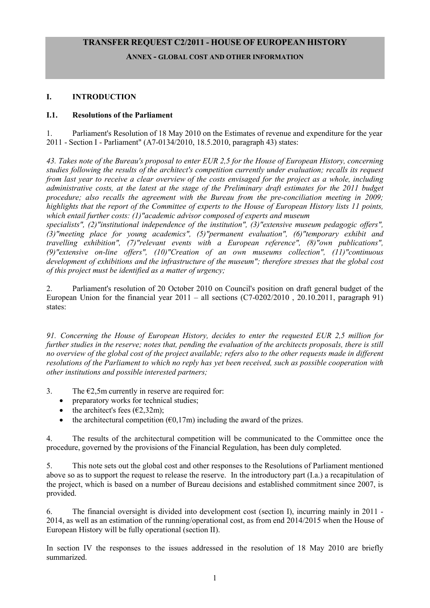## **TRANSFER REQUEST C2/2011 - HOUSE OF EUROPEAN HISTORY**

**ANNEX - GLOBAL COST AND OTHER INFORMATION**

## **I. INTRODUCTION**

### **I.1. Resolutions of the Parliament**

1. Parliament's Resolution of 18 May 2010 on the Estimates of revenue and expenditure for the year 2011 - Section I - Parliament" (A7-0134/2010, 18.5.2010, paragraph 43) states:

*43. Takes note of the Bureau's proposal to enter EUR 2,5 for the House of European History, concerning studies following the results of the architect's competition currently under evaluation; recalls its request from last year to receive a clear overview of the costs envisaged for the project as a whole, including administrative costs, at the latest at the stage of the Preliminary draft estimates for the 2011 budget procedure; also recalls the agreement with the Bureau from the pre-conciliation meeting in 2009; highlights that the report of the Committee of experts to the House of European History lists 11 points, which entail further costs: (1)"academic advisor composed of experts and museum*

*specialists", (2)"institutional independence of the institution", (3)"extensive museum pedagogic offers", (3)"meeting place for young academics", (5)"permanent evaluation", (6)"temporary exhibit and travelling exhibition", (7)"relevant events with a European reference", (8)"own publications", (9)"extensive on-line offers", (10)"Creation of an own museums collection", (11)"continuous development of exhibitions and the infrastructure of the museum"; therefore stresses that the global cost of this project must be identified as a matter of urgency;*

2. Parliament's resolution of 20 October 2010 on Council's position on draft general budget of the European Union for the financial year  $2011 - \text{all sections } (C7 - 0202/2010, 20.10.2011,$  paragraph 91) states:

*91. Concerning the House of European History, decides to enter the requested EUR 2,5 million for further studies in the reserve; notes that, pending the evaluation of the architects proposals, there is still no overview of the global cost of the project available; refers also to the other requests made in different resolutions of the Parliament to which no reply has yet been received, such as possible cooperation with other institutions and possible interested partners;*

3. The  $\epsilon$ 2,5m currently in reserve are required for:

- preparatory works for technical studies;
- the architect's fees  $(\text{E2}, 32\text{m})$ ;
- the architectural competition ( $\epsilon$ 0,17m) including the award of the prizes.

4. The results of the architectural competition will be communicated to the Committee once the procedure, governed by the provisions of the Financial Regulation, has been duly completed.

5. This note sets out the global cost and other responses to the Resolutions of Parliament mentioned above so as to support the request to release the reserve. In the introductory part (I.a.) a recapitulation of the project, which is based on a number of Bureau decisions and established commitment since 2007, is provided.

6. The financial oversight is divided into development cost (section I), incurring mainly in 2011 - 2014, as well as an estimation of the running/operational cost, as from end 2014/2015 when the House of European History will be fully operational (section II).

In section IV the responses to the issues addressed in the resolution of 18 May 2010 are briefly summarized.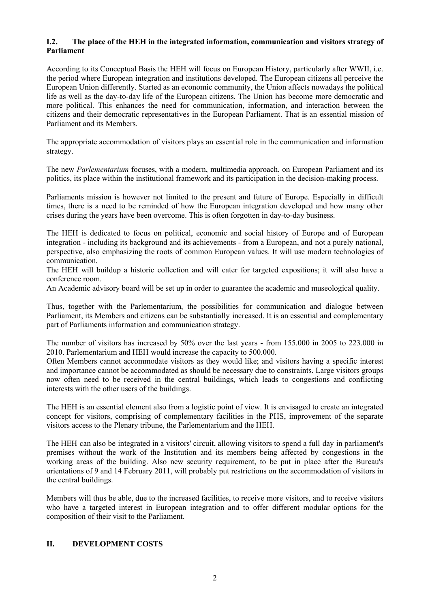## **I.2. The place of the HEH in the integrated information, communication and visitors strategy of Parliament**

According to its Conceptual Basis the HEH will focus on European History, particularly after WWII, i.e. the period where European integration and institutions developed. The European citizens all perceive the European Union differently. Started as an economic community, the Union affects nowadays the political life as well as the day-to-day life of the European citizens. The Union has become more democratic and more political. This enhances the need for communication, information, and interaction between the citizens and their democratic representatives in the European Parliament. That is an essential mission of Parliament and its Members.

The appropriate accommodation of visitors plays an essential role in the communication and information strategy.

The new *Parlementarium* focuses, with a modern, multimedia approach, on European Parliament and its politics, its place within the institutional framework and its participation in the decision-making process.

Parliaments mission is however not limited to the present and future of Europe. Especially in difficult times, there is a need to be reminded of how the European integration developed and how many other crises during the years have been overcome. This is often forgotten in day-to-day business.

The HEH is dedicated to focus on political, economic and social history of Europe and of European integration - including its background and its achievements - from a European, and not a purely national, perspective, also emphasizing the roots of common European values. It will use modern technologies of communication.

The HEH will buildup a historic collection and will cater for targeted expositions; it will also have a conference room.

An Academic advisory board will be set up in order to guarantee the academic and museological quality.

Thus, together with the Parlementarium, the possibilities for communication and dialogue between Parliament, its Members and citizens can be substantially increased. It is an essential and complementary part of Parliaments information and communication strategy.

The number of visitors has increased by 50% over the last years - from 155.000 in 2005 to 223.000 in 2010. Parlementarium and HEH would increase the capacity to 500.000.

Often Members cannot accommodate visitors as they would like; and visitors having a specific interest and importance cannot be accommodated as should be necessary due to constraints. Large visitors groups now often need to be received in the central buildings, which leads to congestions and conflicting interests with the other users of the buildings.

The HEH is an essential element also from a logistic point of view. It is envisaged to create an integrated concept for visitors, comprising of complementary facilities in the PHS, improvement of the separate visitors access to the Plenary tribune, the Parlementarium and the HEH.

The HEH can also be integrated in a visitors' circuit, allowing visitors to spend a full day in parliament's premises without the work of the Institution and its members being affected by congestions in the working areas of the building. Also new security requirement, to be put in place after the Bureau's orientations of 9 and 14 February 2011, will probably put restrictions on the accommodation of visitors in the central buildings.

Members will thus be able, due to the increased facilities, to receive more visitors, and to receive visitors who have a targeted interest in European integration and to offer different modular options for the composition of their visit to the Parliament.

## **II. DEVELOPMENT COSTS**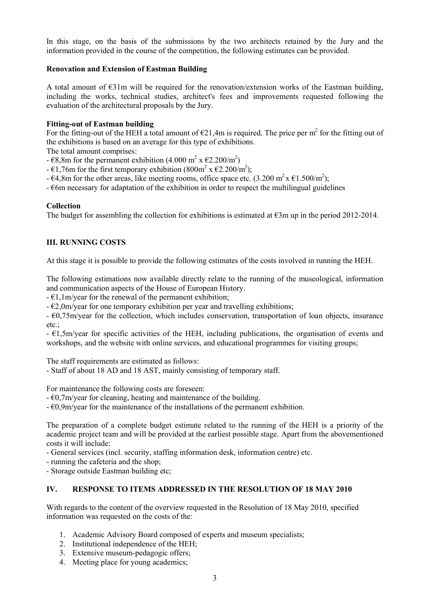In this stage, on the basis of the submissions by the two architects retained by the Jury and the information provided in the course of the competition, the following estimates can be provided.

### **Renovation and Extension of Eastman Building**

A total amount of  $E31m$  will be required for the renovation/extension works of the Eastman building, including the works, technical studies, architect's fees and improvements requested following the evaluation of the architectural proposals by the Jury.

## **Fitting-out of Eastman building**

For the fitting-out of the HEH a total amount of  $\epsilon$ 21,4m is required. The price per m<sup>2</sup> for the fitting out of the exhibitions is based on an average for this type of exhibitions.

The total amount comprises:

- $\epsilon$ 8,8m for the permanent exhibition (4.000 m<sup>2</sup> x  $\epsilon$ 2.200/m<sup>2</sup>)
- $\epsilon$ 1,76m for the first temporary exhibition (800m<sup>2</sup> x  $\epsilon$ 2.200/m<sup>2</sup>);
- $\epsilon$ 4,8m for the other areas, like meeting rooms, office space etc. (3.200 m<sup>2</sup> x  $\epsilon$ 1.500/m<sup>2</sup>);

- €6m necessary for adaptation of the exhibition in order to respect the multilingual guidelines

### **Collection**

The budget for assembling the collection for exhibitions is estimated at €3m up in the period 2012-2014.

## **III. RUNNING COSTS**

At this stage it is possible to provide the following estimates of the costs involved in running the HEH.

The following estimations now available directly relate to the running of the museological, information and communication aspects of the House of European History.

 $- \epsilon$ 1,1m/year for the renewal of the permanent exhibition;

 $\epsilon$ 2,0m/year for one temporary exhibition per year and travelling exhibitions;

- €0,75m/year for the collection, which includes conservation, transportation of loan objects, insurance etc.;

 $\epsilon$ 1,5m/year for specific activities of the HEH, including publications, the organisation of events and workshops, and the website with online services, and educational programmes for visiting groups;

The staff requirements are estimated as follows:

- Staff of about 18 AD and 18 AST, mainly consisting of temporary staff.

For maintenance the following costs are foreseen:

- €0,7m/year for cleaning, heating and maintenance of the building.
- $\epsilon$ 0,9m/year for the maintenance of the installations of the permanent exhibition.

The preparation of a complete budget estimate related to the running of the HEH is a priority of the academic project team and will be provided at the earliest possible stage. Apart from the abovementioned costs it will include:

- General services (incl. security, staffing information desk, information centre) etc.

- running the cafeteria and the shop;

- Storage outside Eastman building etc;

### **IV. RESPONSE TO ITEMS ADDRESSED IN THE RESOLUTION OF 18 MAY 2010**

With regards to the content of the overview requested in the Resolution of 18 May 2010, specified information was requested on the costs of the:

- 1. Academic Advisory Board composed of experts and museum specialists;
- 2. Institutional independence of the HEH;
- 3. Extensive museum-pedagogic offers;
- 4. Meeting place for young academics;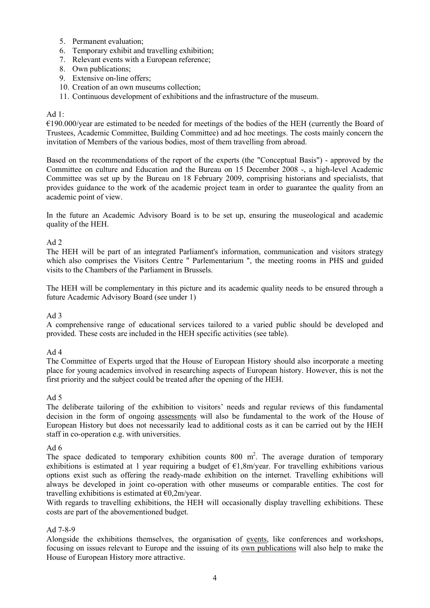- 5. Permanent evaluation;
- 6. Temporary exhibit and travelling exhibition;
- 7. Relevant events with a European reference;
- 8. Own publications;
- 9. Extensive on-line offers;
- 10. Creation of an own museums collection;
- 11. Continuous development of exhibitions and the infrastructure of the museum.

## Ad  $1$ <sup>.</sup>

 $€190.000$ /year are estimated to be needed for meetings of the bodies of the HEH (currently the Board of Trustees, Academic Committee, Building Committee) and ad hoc meetings. The costs mainly concern the invitation of Members of the various bodies, most of them travelling from abroad.

Based on the recommendations of the report of the experts (the "Conceptual Basis") - approved by the Committee on culture and Education and the Bureau on 15 December 2008 -, a high-level Academic Committee was set up by the Bureau on 18 February 2009, comprising historians and specialists, that provides guidance to the work of the academic project team in order to guarantee the quality from an academic point of view.

In the future an Academic Advisory Board is to be set up, ensuring the museological and academic quality of the HEH.

## $Ad 2$

The HEH will be part of an integrated Parliament's information, communication and visitors strategy which also comprises the Visitors Centre " Parlementarium ", the meeting rooms in PHS and guided visits to the Chambers of the Parliament in Brussels.

The HEH will be complementary in this picture and its academic quality needs to be ensured through a future Academic Advisory Board (see under 1)

### Ad 3

A comprehensive range of educational services tailored to a varied public should be developed and provided. These costs are included in the HEH specific activities (see table).

### Ad 4

The Committee of Experts urged that the House of European History should also incorporate a meeting place for young academics involved in researching aspects of European history. However, this is not the first priority and the subject could be treated after the opening of the HEH.

### $Ad 5$

The deliberate tailoring of the exhibition to visitors' needs and regular reviews of this fundamental decision in the form of ongoing assessments will also be fundamental to the work of the House of European History but does not necessarily lead to additional costs as it can be carried out by the HEH staff in co-operation e.g. with universities.

### Ad 6

The space dedicated to temporary exhibition counts  $800 \text{ m}^2$ . The average duration of temporary exhibitions is estimated at 1 year requiring a budget of  $\epsilon$ 1,8m/year. For travelling exhibitions various options exist such as offering the ready-made exhibition on the internet. Travelling exhibitions will always be developed in joint co-operation with other museums or comparable entities. The cost for travelling exhibitions is estimated at  $\epsilon$ 0,2m/year.

With regards to travelling exhibitions, the HEH will occasionally display travelling exhibitions. These costs are part of the abovementioned budget.

### Ad 7-8-9

Alongside the exhibitions themselves, the organisation of events, like conferences and workshops, focusing on issues relevant to Europe and the issuing of its own publications will also help to make the House of European History more attractive.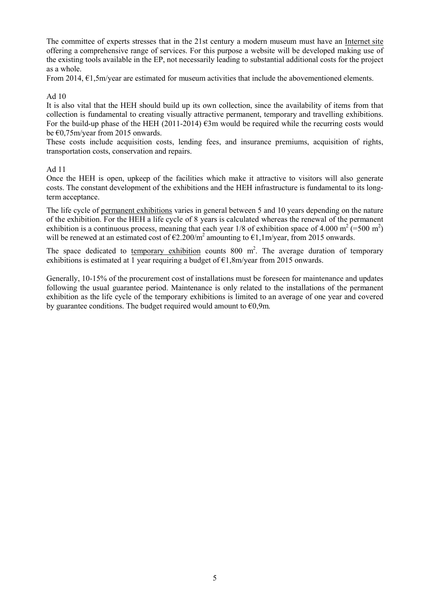The committee of experts stresses that in the 21st century a modern museum must have an Internet site offering a comprehensive range of services. For this purpose a website will be developed making use of the existing tools available in the EP, not necessarily leading to substantial additional costs for the project as a whole.

From 2014, €1,5m/year are estimated for museum activities that include the abovementioned elements.

## Ad 10

It is also vital that the HEH should build up its own collection, since the availability of items from that collection is fundamental to creating visually attractive permanent, temporary and travelling exhibitions. For the build-up phase of the HEH (2011-2014)  $\epsilon$ 3m would be required while the recurring costs would be €0,75m/year from 2015 onwards.

These costs include acquisition costs, lending fees, and insurance premiums, acquisition of rights, transportation costs, conservation and repairs.

## Ad 11

Once the HEH is open, upkeep of the facilities which make it attractive to visitors will also generate costs. The constant development of the exhibitions and the HEH infrastructure is fundamental to its longterm acceptance.

The life cycle of permanent exhibitions varies in general between 5 and 10 years depending on the nature of the exhibition. For the HEH a life cycle of 8 years is calculated whereas the renewal of the permanent exhibition is a continuous process, meaning that each year  $1/8$  of exhibition space of 4.000 m<sup>2</sup> (=500 m<sup>2</sup>) will be renewed at an estimated cost of  $\epsilon$ 2.200/m<sup>2</sup> amounting to  $\epsilon$ 1,1m/year, from 2015 onwards.

The space dedicated to temporary exhibition counts 800 m<sup>2</sup>. The average duration of temporary exhibitions is estimated at 1 year requiring a budget of  $\epsilon$ 1,8m/year from 2015 onwards.

Generally, 10-15% of the procurement cost of installations must be foreseen for maintenance and updates following the usual guarantee period. Maintenance is only related to the installations of the permanent exhibition as the life cycle of the temporary exhibitions is limited to an average of one year and covered by guarantee conditions. The budget required would amount to  $\epsilon 0.9$ m.